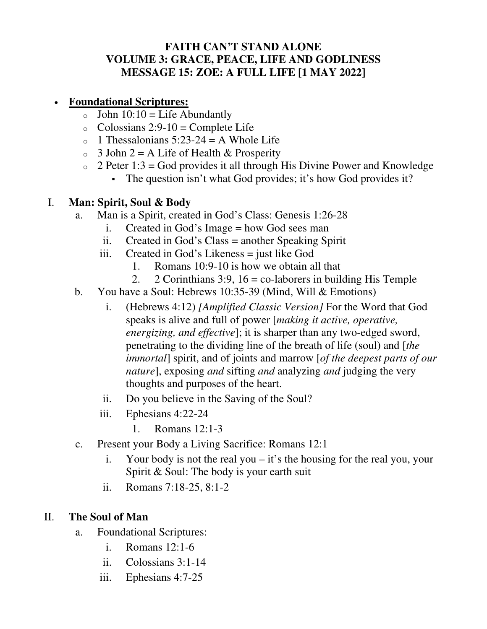### **FAITH CAN'T STAND ALONE VOLUME 3: GRACE, PEACE, LIFE AND GODLINESS MESSAGE 15: ZOE: A FULL LIFE [1 MAY 2022]**

## • **Foundational Scriptures:**

- $\circ$  John 10:10 = Life Abundantly
- $\circ$  Colossians 2:9-10 = Complete Life
- $\circ$  1 Thessalonians 5:23-24 = A Whole Life
- $\circ$  3 John 2 = A Life of Health & Prosperity
- $\circ$  2 Peter 1:3 = God provides it all through His Divine Power and Knowledge
	- The question isn't what God provides; it's how God provides it?

#### I. **Man: Spirit, Soul & Body**

- a. Man is a Spirit, created in God's Class: Genesis 1:26-28
	- i. Created in God's Image = how God sees man
	- ii. Created in God's Class = another Speaking Spirit
	- iii. Created in God's Likeness = just like God
		- 1. Romans 10:9-10 is how we obtain all that
		- 2. 2 Corinthians 3:9,  $16 = \text{co-laborers}$  in building His Temple
- b. You have a Soul: Hebrews 10:35-39 (Mind, Will & Emotions)
	- i. (Hebrews 4:12) *[Amplified Classic Version]* For the Word that God speaks is alive and full of power [*making it active, operative, energizing, and effective*]; it is sharper than any two-edged sword, penetrating to the dividing line of the breath of life (soul) and [*the immortal*] spirit, and of joints and marrow [*of the deepest parts of our nature*], exposing *and* sifting *and* analyzing *and* judging the very thoughts and purposes of the heart.
	- ii. Do you believe in the Saving of the Soul?
	- iii. Ephesians 4:22-24
		- 1. Romans 12:1-3
- c. Present your Body a Living Sacrifice: Romans 12:1
	- i. Your body is not the real you it's the housing for the real you, your Spirit & Soul: The body is your earth suit
	- ii. Romans 7:18-25, 8:1-2

# II. **The Soul of Man**

- a. Foundational Scriptures:
	- i. Romans 12:1-6
	- ii. Colossians 3:1-14
	- iii. Ephesians 4:7-25